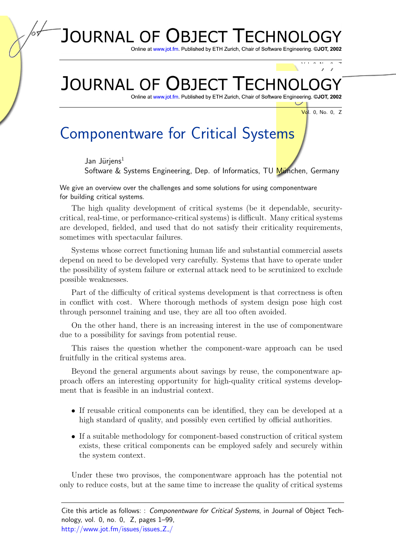## **JOURNAL OF** L LECHNO **BIFC**

Online at www.jot.fm. Published by ETH Zurich, Chair of Software Engineering. ©JOT, 2002

## **JOURNAL OF BIFC**

Online at www.jot.fm. Published by ETH Zurich, Chair of Software Engineering.

Vol. 0, No. 0, Z

Vol. 0, No. 0, Z

## Componentware for Critical Systems

Jan Jüriens $<sup>1</sup>$ </sup>

Software & Systems Engineering, Dep. of Informatics, TU München, Germany

We give an overview over the challenges and some solutions for using componentware for building critical systems.

The high quality development of critical systems (be it dependable, securitycritical, real-time, or performance-critical systems) is difficult. Many critical systems are developed, fielded, and used that do not satisfy their criticality requirements, sometimes with spectacular failures.

Systems whose correct functioning human life and substantial commercial assets depend on need to be developed very carefully. Systems that have to operate under the possibility of system failure or external attack need to be scrutinized to exclude possible weaknesses.

Part of the difficulty of critical systems development is that correctness is often in conflict with cost. Where thorough methods of system design pose high cost through personnel training and use, they are all too often avoided.

On the other hand, there is an increasing interest in the use of componentware due to a possibility for savings from potential reuse.

This raises the question whether the component-ware approach can be used fruitfully in the critical systems area.

Beyond the general arguments about savings by reuse, the componentware approach offers an interesting opportunity for high-quality critical systems development that is feasible in an industrial context.

- If reusable critical components can be identified, they can be developed at a high standard of quality, and possibly even certified by official authorities.
- If a suitable methodology for component-based construction of critical system exists, these critical components can be employed safely and securely within the system context.

Under these two provisos, the componentware approach has the potential not only to reduce costs, but at the same time to increase the quality of critical systems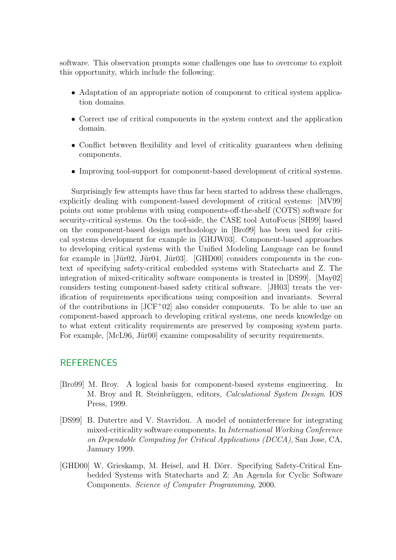software. This observation prompts some challenges one has to overcome to exploit this opportunity, which include the following:

- Adaptation of an appropriate notion of component to critical system application domains.
- Correct use of critical components in the system context and the application domain.
- Conflict between flexibility and level of criticality guarantees when defining components.
- Improving tool-support for component-based development of critical systems.

Surprisingly few attempts have thus far been started to address these challenges, explicitly dealing with component-based development of critical systems: [\[MV99\]](#page-2-0) points out some problems with using components-off-the-shelf (COTS) software for security-critical systems. On the tool-side, the CASE tool AutoFocus [\[SH99\]](#page-2-1) based on the component-based design methodology in [\[Bro99\]](#page-1-0) has been used for critical systems development for example in [\[GHJW03\]](#page-2-2). Component-based approaches to developing critical systems with the Unified Modeling Language can be found for example in  $[\text{Jür02}, \text{Jür04}, \text{Jür03}]$ .  $[\text{GHD00}]$  considers components in the context of specifying safety-critical embedded systems with Statecharts and Z. The integration of mixed-criticality software components is treated in [\[DS99\]](#page-1-2). [\[May02\]](#page-2-6) considers testing component-based safety critical software. [\[JH03\]](#page-2-7) treats the verification of requirements specifications using composition and invariants. Several of the contributions in  $[JCF^+02]$  $[JCF^+02]$  also consider components. To be able to use an component-based approach to developing critical systems, one needs knowledge on to what extent criticality requirements are preserved by composing system parts. For example, [\[McL96,](#page-2-9) Jür00] examine composability of security requirements.

## **REFERENCES**

- <span id="page-1-0"></span>[Bro99] M. Broy. A logical basis for component-based systems engineering. In M. Broy and R. Steinbrüggen, editors, *Calculational System Design*. IOS Press, 1999.
- <span id="page-1-2"></span>[DS99] B. Dutertre and V. Stavridou. A model of noninterference for integrating mixed-criticality software components. In International Working Conference on Dependable Computing for Critical Applications (DCCA), San Jose, CA, January 1999.
- <span id="page-1-1"></span>[GHD00] W. Grieskamp, M. Heisel, and H. Dörr. Specifying Safety-Critical Embedded Systems with Statecharts and Z: An Agenda for Cyclic Software Components. Science of Computer Programming, 2000.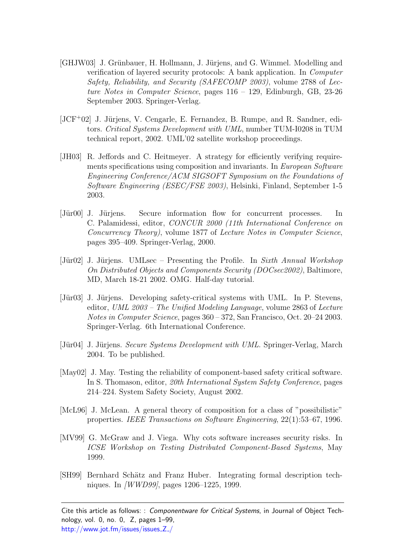- <span id="page-2-2"></span>[GHJW03] J. Grünbauer, H. Hollmann, J. Jürjens, and G. Wimmel. Modelling and verification of layered security protocols: A bank application. In Computer Safety, Reliability, and Security (SAFECOMP 2003), volume 2788 of Lecture Notes in Computer Science, pages  $116 - 129$ , Edinburgh, GB, 23-26 September 2003. Springer-Verlag.
- <span id="page-2-8"></span>[JCF<sup>+</sup>02] J. Jürjens, V. Cengarle, E. Fernandez, B. Rumpe, and R. Sandner, editors. Critical Systems Development with UML, number TUM-I0208 in TUM technical report, 2002. UML'02 satellite workshop proceedings.
- <span id="page-2-7"></span>[JH03] R. Jeffords and C. Heitmeyer. A strategy for efficiently verifying requirements specifications using composition and invariants. In *European Software* Engineering Conference/ACM SIGSOFT Symposium on the Foundations of Software Engineering (ESEC/FSE 2003), Helsinki, Finland, September 1-5 2003.
- <span id="page-2-10"></span>[Jür00] J. Jürjens. Secure information flow for concurrent processes. In C. Palamidessi, editor, CONCUR 2000 (11th International Conference on Concurrency Theory), volume 1877 of Lecture Notes in Computer Science, pages 395–409. Springer-Verlag, 2000.
- <span id="page-2-3"></span>[Jür02] J. Jürjens. UMLsec – Presenting the Profile. In Sixth Annual Workshop On Distributed Objects and Components Security (DOCsec2002), Baltimore, MD, March 18-21 2002. OMG. Half-day tutorial.
- <span id="page-2-5"></span>[Jür03] J. Jürjens. Developing safety-critical systems with UML. In P. Stevens, editor, UML 2003 – The Unified Modeling Language, volume 2863 of Lecture Notes in Computer Science, pages 360 – 372, San Francisco, Oct. 20–24 2003. Springer-Verlag. 6th International Conference.
- <span id="page-2-4"></span>[Jür04] J. Jürjens. Secure Systems Development with UML. Springer-Verlag, March 2004. To be published.
- <span id="page-2-6"></span>[May02] J. May. Testing the reliability of component-based safety critical software. In S. Thomason, editor, 20th International System Safety Conference, pages 214–224. System Safety Society, August 2002.
- <span id="page-2-9"></span>[McL96] J. McLean. A general theory of composition for a class of "possibilistic" properties. IEEE Transactions on Software Engineering, 22(1):53–67, 1996.
- <span id="page-2-0"></span>[MV99] G. McGraw and J. Viega. Why cots software increases security risks. In ICSE Workshop on Testing Distributed Component-Based Systems, May 1999.
- <span id="page-2-1"></span>[SH99] Bernhard Schätz and Franz Huber. Integrating formal description techniques. In [\[WWD99\]](#page-3-0), pages 1206–1225, 1999.

Cite this article as follows: : Componentware for Critical Systems, in Journal of Object Technology, vol. 0, no. 0, Z, pages 1–99, [http://www.jot.fm/issues/issues](http://www.jot.fm/issues/issues_Z_/) Z /